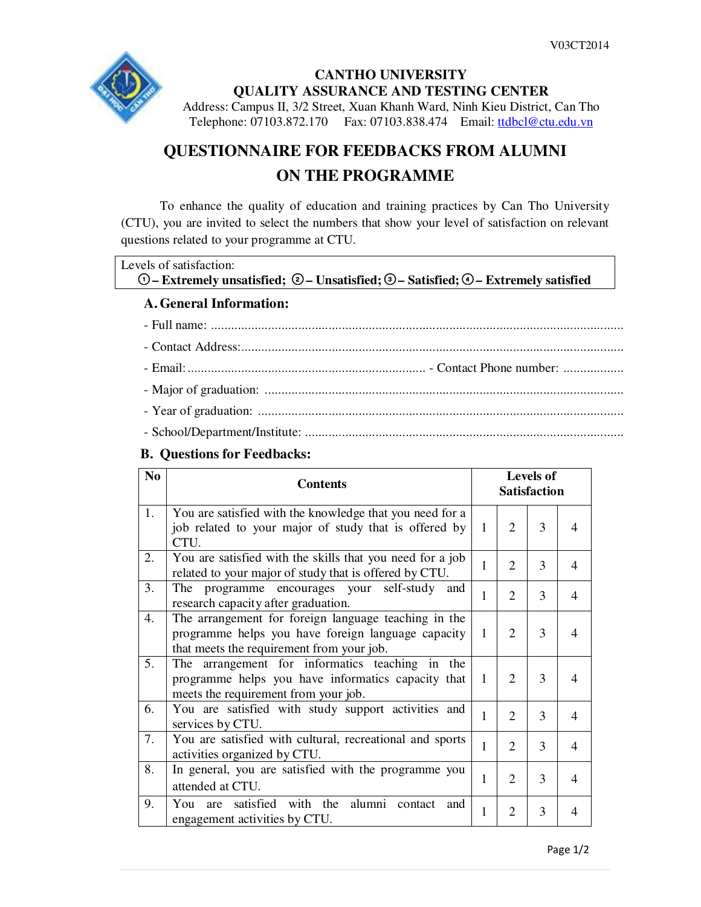

## **CANTHO UNIVERSITY QUALITY ASSURANCE AND TESTING CENTER**  Address: Campus II, 3/2 Street, Xuan Khanh Ward, Ninh Kieu District, Can Tho Telephone: 07103.872.170 Fax: 07103.838.474 Email: ttdbcl@ctu.edu.vn

# **QUESTIONNAIRE FOR FEEDBACKS FROM ALUMNI ON THE PROGRAMME**

To enhance the quality of education and training practices by Can Tho University (CTU), you are invited to select the numbers that show your level of satisfaction on relevant questions related to your programme at CTU.

| Levels of satisfaction:                                                                                    |  |
|------------------------------------------------------------------------------------------------------------|--|
| $\odot$ – Extremely unsatisfied; $\odot$ – Unsatisfied; $\odot$ – Satisfied; $\odot$ – Extremely satisfied |  |
| $\Lambda$ Concursed Leftermontinum                                                                         |  |

## **A. General Information:**

## **B. Questions for Feedbacks:**

| N <sub>0</sub> | <b>Contents</b>                                                                                                                                         |   |                | <b>Levels of</b><br><b>Satisfaction</b> |   |
|----------------|---------------------------------------------------------------------------------------------------------------------------------------------------------|---|----------------|-----------------------------------------|---|
| 1.             | You are satisfied with the knowledge that you need for a<br>job related to your major of study that is offered by<br>CTU.                               | 1 | 2              | 3                                       | 4 |
| 2.             | You are satisfied with the skills that you need for a job<br>related to your major of study that is offered by CTU.                                     | 1 | $\overline{2}$ | 3                                       | 4 |
| 3.             | The programme encourages your self-study and<br>research capacity after graduation.                                                                     | 1 | $\overline{2}$ | 3                                       | 4 |
| 4.             | The arrangement for foreign language teaching in the<br>programme helps you have foreign language capacity<br>that meets the requirement from your job. | 1 | $\overline{2}$ | 3                                       | 4 |
| 5.             | The arrangement for informatics teaching in the<br>programme helps you have informatics capacity that<br>meets the requirement from your job.           | 1 | $\overline{2}$ | 3                                       | 4 |
| 6.             | You are satisfied with study support activities and<br>services by CTU.                                                                                 | 1 | $\overline{2}$ | 3                                       | 4 |
| 7.             | You are satisfied with cultural, recreational and sports<br>activities organized by CTU.                                                                | 1 | $\overline{2}$ | 3                                       | 4 |
| 8.             | In general, you are satisfied with the programme you<br>attended at CTU.                                                                                |   | $\overline{2}$ | 3                                       | 4 |
| 9.             | satisfied with the<br>alumni<br>You<br>contact<br>and<br>are<br>engagement activities by CTU.                                                           | 1 | $\mathfrak{D}$ | 3                                       | 4 |